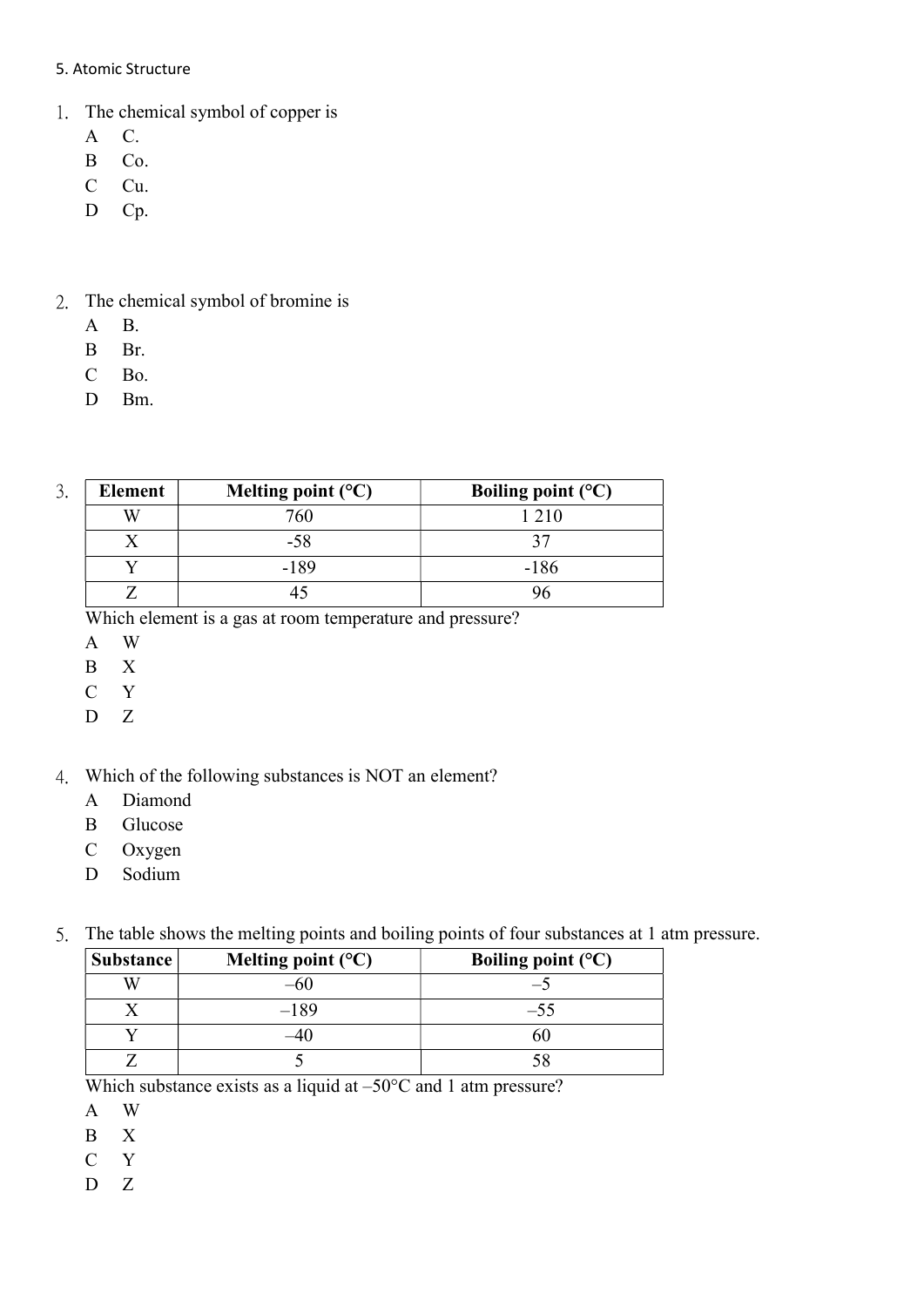#### 5. Atomic Structure

- 1. The chemical symbol of copper is
	- A C.
	- B Co.
	- C Cu.
	- D Cp.

## 2. The chemical symbol of bromine is

- A B.
- B Br.
- C Bo.
- D Bm.

| ⌒<br>. ر | Element | Melting point $(^{\circ}C)$ | Boiling point $(^{\circ}C)$ |
|----------|---------|-----------------------------|-----------------------------|
|          |         | 760                         | 1 2 1 0                     |
|          |         | -58                         |                             |
|          |         | $-189$                      | $-186$                      |
|          |         |                             |                             |

Which element is a gas at room temperature and pressure?

- A W
- B X
- C Y
- D Z
- 4. Which of the following substances is NOT an element?
	- A Diamond
	- B Glucose
	- C Oxygen
	- D Sodium
- 5. The table shows the melting points and boiling points of four substances at 1 atm pressure.

| <b>Substance</b> | Melting point $(C)$ | Boiling point $(^{\circ}C)$ |
|------------------|---------------------|-----------------------------|
| W                |                     |                             |
|                  | $-189$              | $-55$                       |
|                  |                     | nU.                         |
|                  |                     |                             |

Which substance exists as a liquid at –50°C and 1 atm pressure?

- A W
- B X
- C Y
- D Z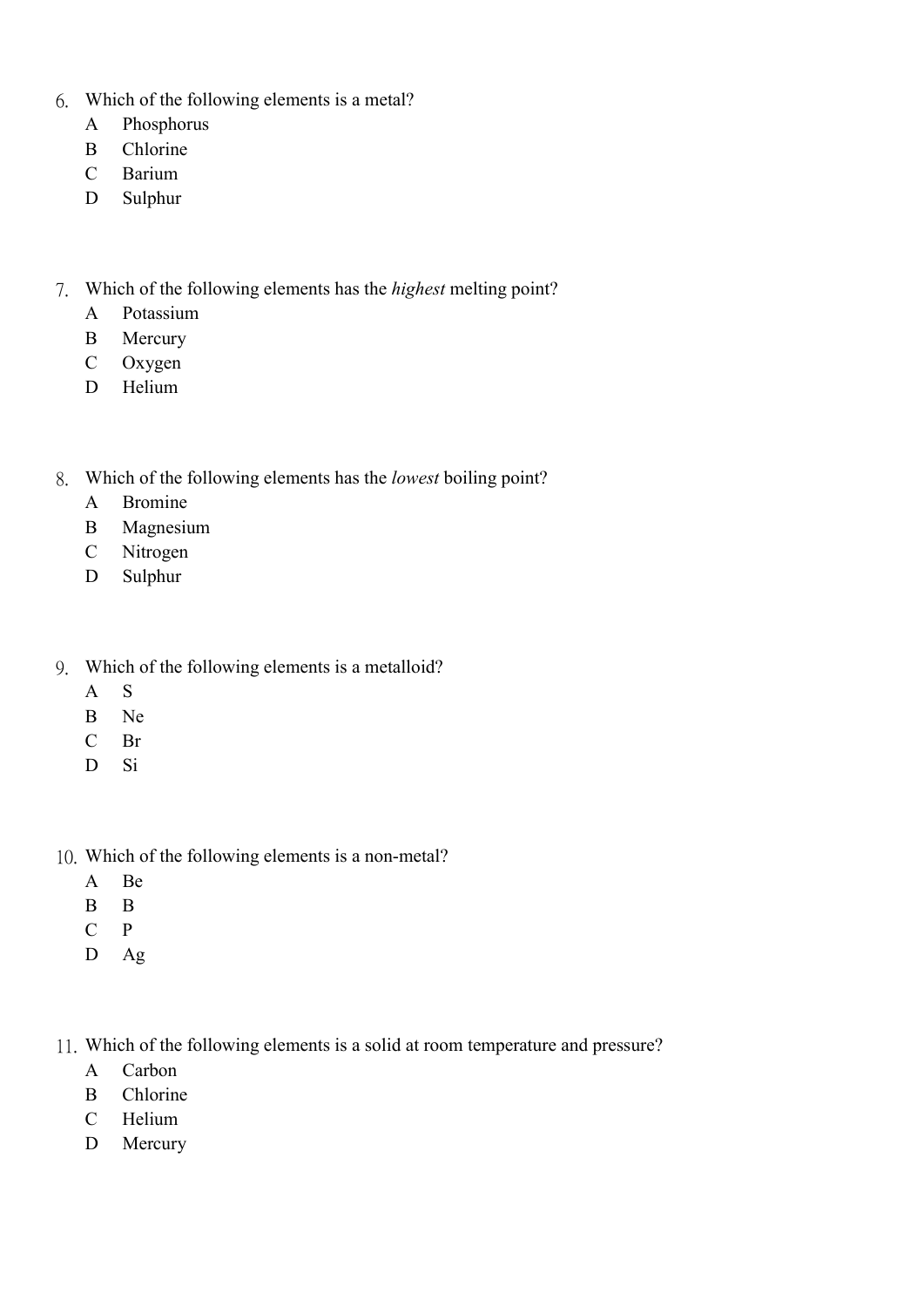- 6. Which of the following elements is a metal?
	- A Phosphorus
	- B Chlorine
	- C Barium
	- D Sulphur
- 7. Which of the following elements has the highest melting point?
	- A Potassium
	- B Mercury
	- C Oxygen
	- D Helium
- 8. Which of the following elements has the lowest boiling point?
	- A Bromine
	- B Magnesium
	- C Nitrogen
	- D Sulphur
- 9. Which of the following elements is a metalloid?
	- A S
	- B Ne
	- C Br
	- D Si
- 10. Which of the following elements is a non-metal?
	- A Be
	- B B
	- C P
	- D Ag
- 11. Which of the following elements is a solid at room temperature and pressure?
	- A Carbon
	- B Chlorine
	- C Helium
	- D Mercury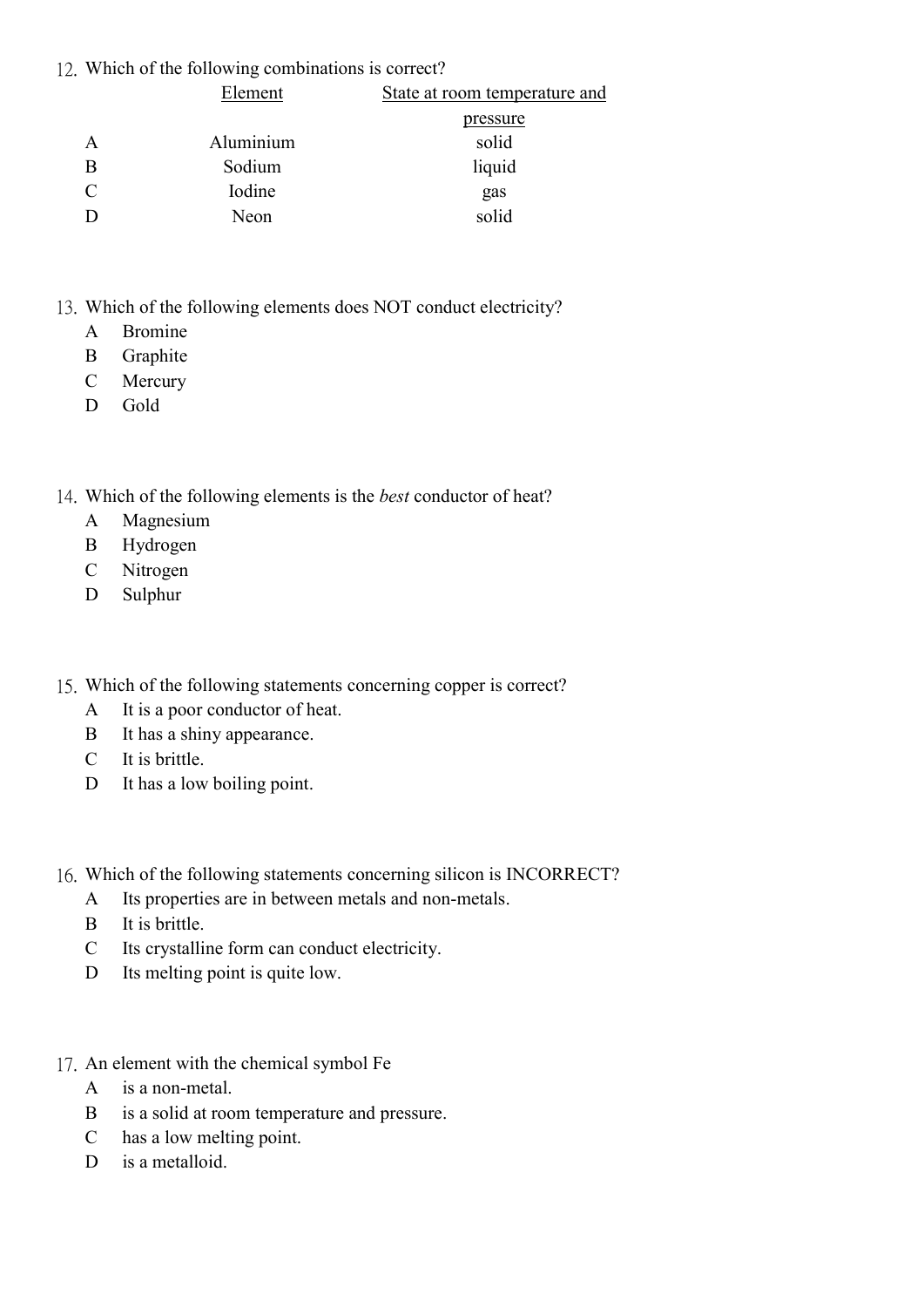#### 12. Which of the following combinations is correct?

| Element   | State at room temperature and |
|-----------|-------------------------------|
|           | <u>pressure</u>               |
| Aluminium | solid                         |
| Sodium    | liquid                        |
| Iodine    | gas                           |
| Neon      | solid                         |
|           |                               |

- 13. Which of the following elements does NOT conduct electricity?
	- A Bromine
	- B Graphite
	- C Mercury
	- D Gold
- 14. Which of the following elements is the best conductor of heat?
	- A Magnesium
	- B Hydrogen
	- C Nitrogen
	- D Sulphur
- 15. Which of the following statements concerning copper is correct?
	- A It is a poor conductor of heat.
	- B It has a shiny appearance.
	- C It is brittle.
	- D It has a low boiling point.
- 16. Which of the following statements concerning silicon is INCORRECT?
	- A Its properties are in between metals and non-metals.
	- B It is brittle.
	- C Its crystalline form can conduct electricity.
	- D Its melting point is quite low.
- 17. An element with the chemical symbol Fe
	- A is a non-metal.
	- B is a solid at room temperature and pressure.
	- C has a low melting point.
	- D is a metalloid.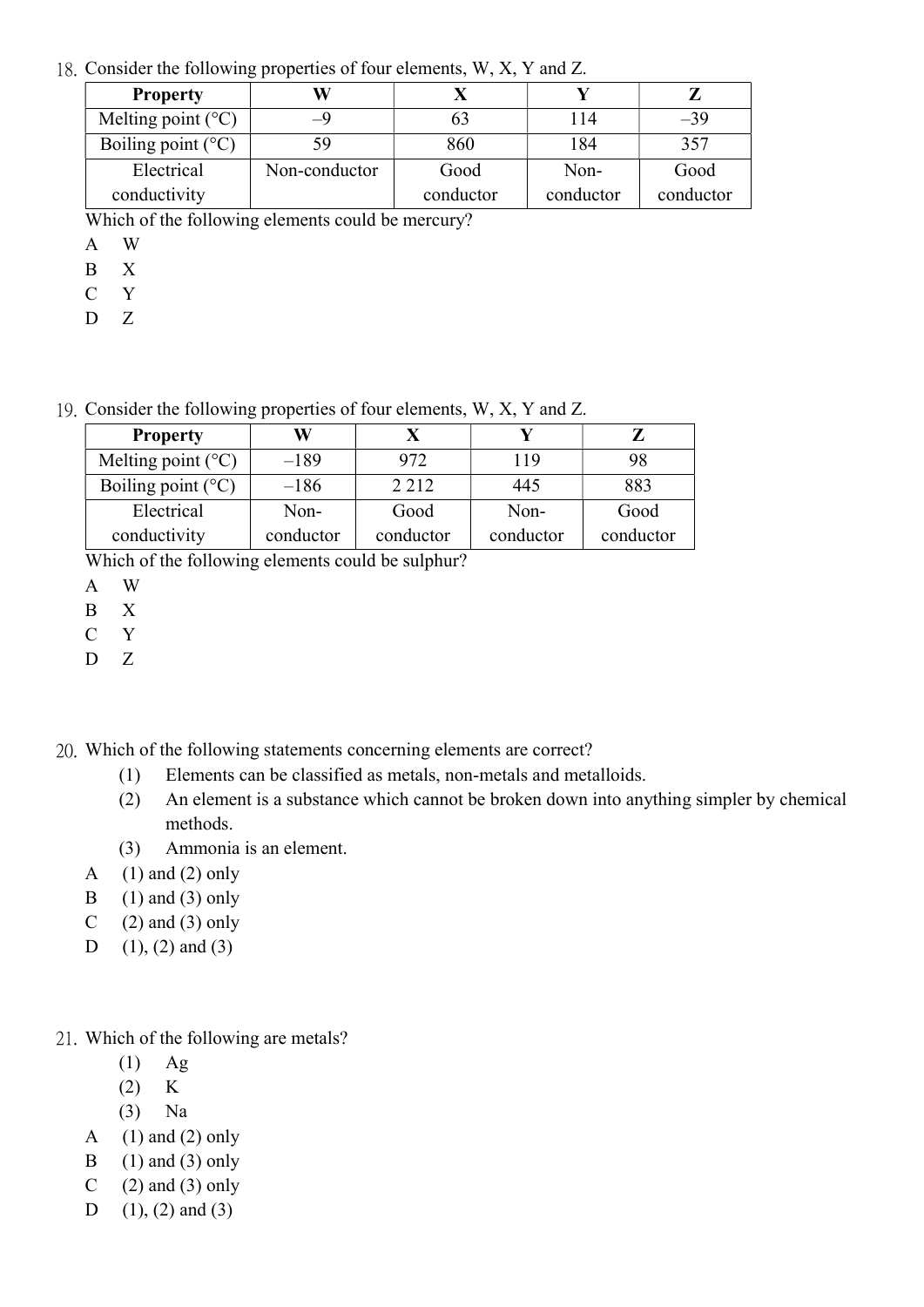18. Consider the following properties of four elements, W, X, Y and Z.

| <b>Property</b>               |                                            |           |           |           |
|-------------------------------|--------------------------------------------|-----------|-----------|-----------|
| Melting point $(^{\circ}C)$   | -9                                         | 63        | 114       | $-39$     |
| Boiling point $(^{\circ}C)$   | 59                                         | 860       | 184       | 357       |
| Electrical                    | Non-conductor                              | Good      | Non-      | Good      |
| conductivity                  |                                            | conductor | conductor | conductor |
| TT 71 + 1<br>$0.1 \quad 0.11$ | 111<br>the contract of the contract of the | $\sim$    |           |           |

Which of the following elements could be mercury?

- A W
- B X
- C Y
- $D \quad Z$

19. Consider the following properties of four elements, W, X, Y and Z.

| <b>Property</b>               | W         |           |           |           |
|-------------------------------|-----------|-----------|-----------|-----------|
| Melting point $(^{\circ}C)$   | $-189$    | 972       | 119       | 98        |
| Boiling point $({}^{\circ}C)$ | $-186$    | 2 2 1 2   | 445       | 883       |
| Electrical                    | Non-      | Good      | Non-      | Good      |
| conductivity                  | conductor | conductor | conductor | conductor |

Which of the following elements could be sulphur?

- B X
- C Y
- $D \quad Z$

20. Which of the following statements concerning elements are correct?

- (1) Elements can be classified as metals, non-metals and metalloids.
- (2) An element is a substance which cannot be broken down into anything simpler by chemical methods.
- (3) Ammonia is an element.
- A  $(1)$  and  $(2)$  only
- B  $(1)$  and  $(3)$  only
- C  $(2)$  and  $(3)$  only
- D  $(1)$ ,  $(2)$  and  $(3)$
- 21. Which of the following are metals?
	- $(1)$  Ag
	- $(2)$  K
	- (3) Na
	- A  $(1)$  and  $(2)$  only
	- B  $(1)$  and  $(3)$  only
	- C  $(2)$  and  $(3)$  only
	- D  $(1)$ ,  $(2)$  and  $(3)$

A W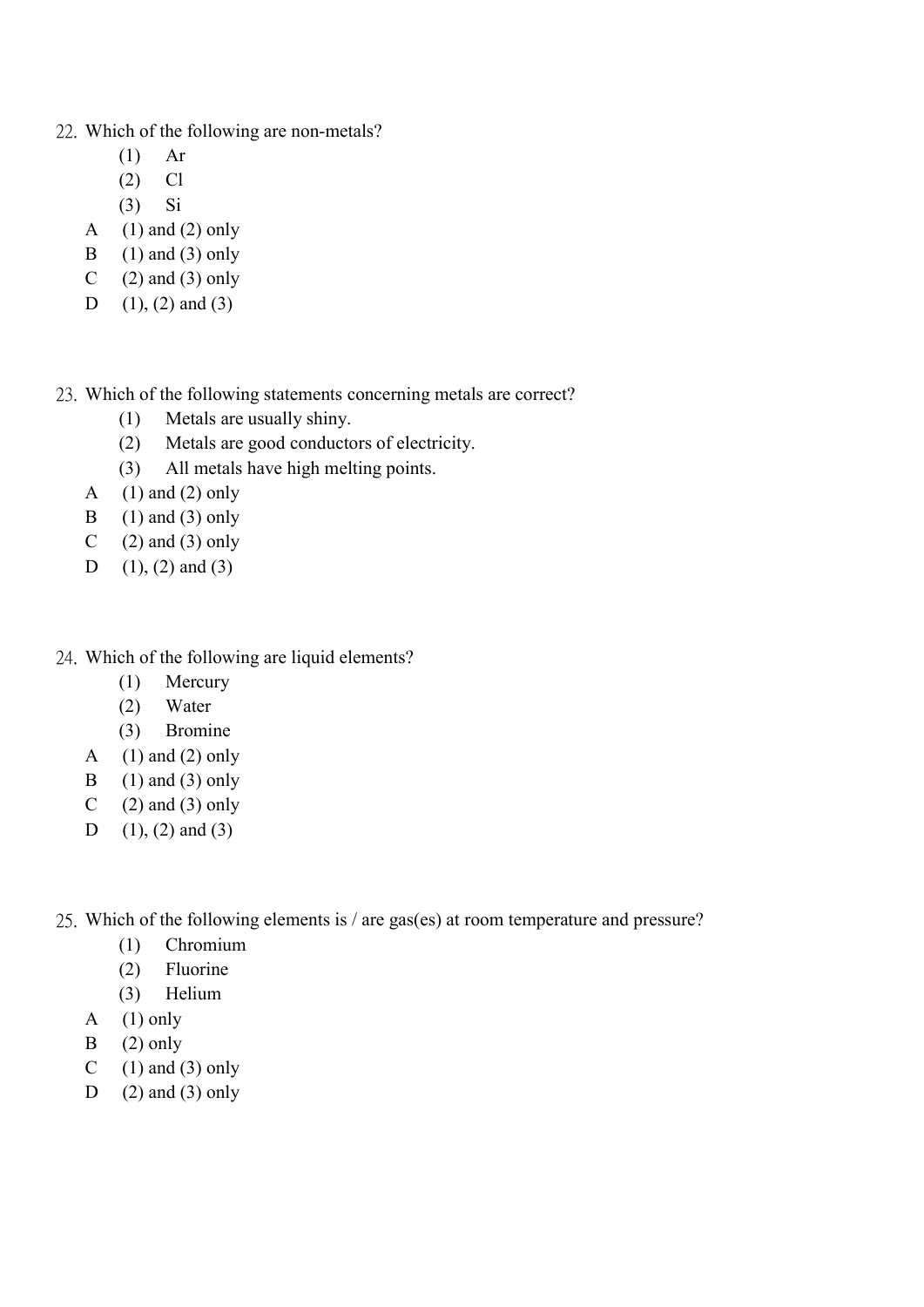- 22. Which of the following are non-metals?
	- (1) Ar
	- $(2)$  Cl
	- (3) Si
	- A  $(1)$  and  $(2)$  only
	- B  $(1)$  and  $(3)$  only
	- C  $(2)$  and  $(3)$  only
	- D  $(1)$ ,  $(2)$  and  $(3)$
- 23. Which of the following statements concerning metals are correct?
	- (1) Metals are usually shiny.
	- (2) Metals are good conductors of electricity.
	- (3) All metals have high melting points.
	- A  $(1)$  and  $(2)$  only
	- B  $(1)$  and  $(3)$  only
	- C  $(2)$  and  $(3)$  only
	- D  $(1)$ ,  $(2)$  and  $(3)$
- 24. Which of the following are liquid elements?
	- (1) Mercury
	- (2) Water
	- (3) Bromine
	- A  $(1)$  and  $(2)$  only
	- B  $(1)$  and  $(3)$  only
	- C  $(2)$  and  $(3)$  only
	- D  $(1)$ ,  $(2)$  and  $(3)$
- 25. Which of the following elements is / are gas(es) at room temperature and pressure?
	- (1) Chromium
	- (2) Fluorine
	- (3) Helium
	- A  $(1)$  only
	- $B$  (2) only
	- C  $(1)$  and  $(3)$  only
	- D  $(2)$  and  $(3)$  only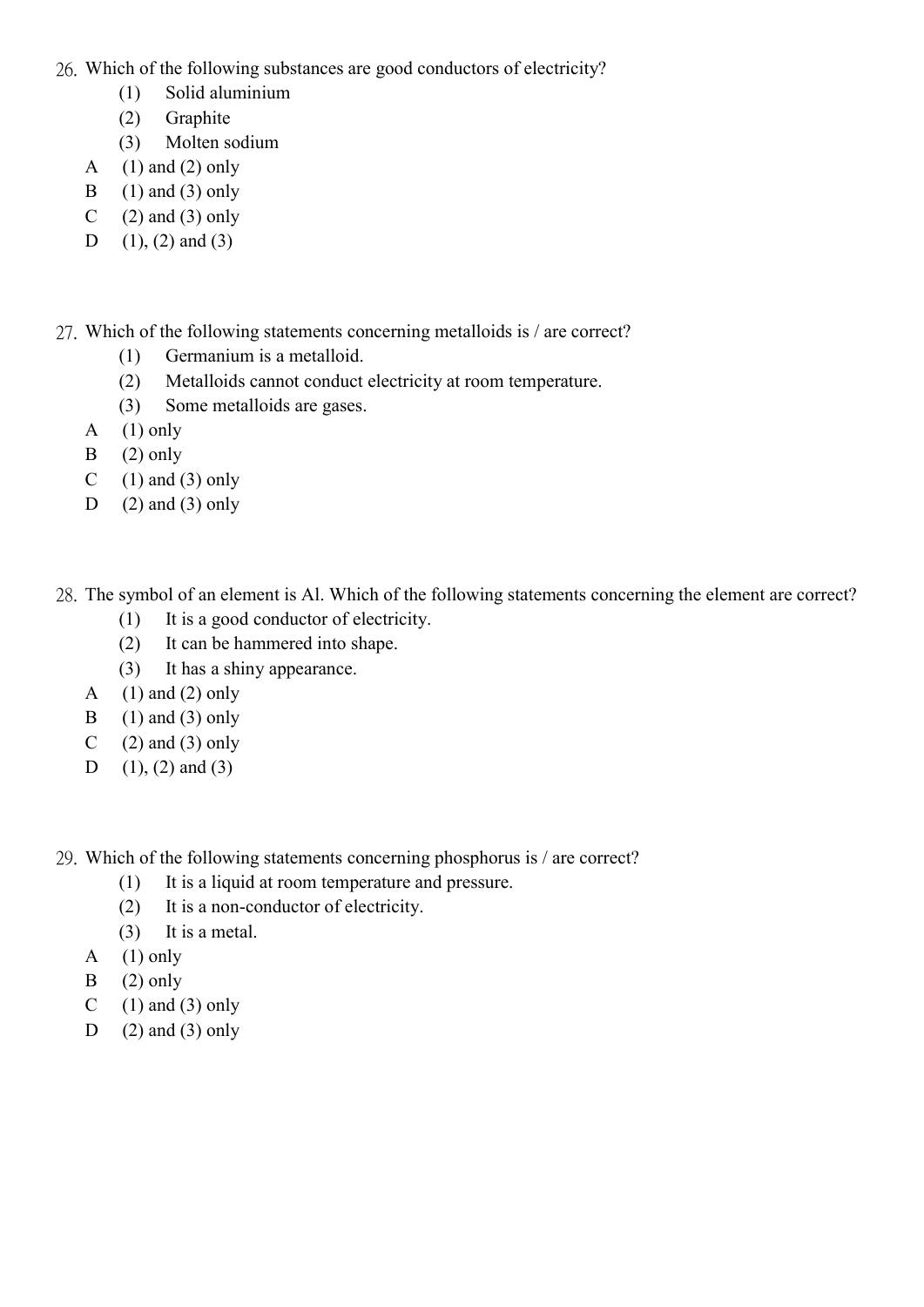26. Which of the following substances are good conductors of electricity?

- (1) Solid aluminium
- (2) Graphite
- (3) Molten sodium
- A  $(1)$  and  $(2)$  only
- B  $(1)$  and  $(3)$  only
- C  $(2)$  and  $(3)$  only
- D  $(1)$ ,  $(2)$  and  $(3)$
- 27. Which of the following statements concerning metalloids is / are correct?
	- (1) Germanium is a metalloid.
	- (2) Metalloids cannot conduct electricity at room temperature.
	- (3) Some metalloids are gases.
	- A  $(1)$  only
	- $B$  (2) only
	- C  $(1)$  and  $(3)$  only
	- D  $(2)$  and  $(3)$  only
- 28. The symbol of an element is Al. Which of the following statements concerning the element are correct?
	- (1) It is a good conductor of electricity.
	- (2) It can be hammered into shape.
	- (3) It has a shiny appearance.
	- A  $(1)$  and  $(2)$  only
	- B  $(1)$  and  $(3)$  only
	- C  $(2)$  and  $(3)$  only
	- D  $(1)$ ,  $(2)$  and  $(3)$
- 29. Which of the following statements concerning phosphorus is / are correct?
	- (1) It is a liquid at room temperature and pressure.
	- (2) It is a non-conductor of electricity.
	- (3) It is a metal.
	- A  $(1)$  only
	- $B$  (2) only
	- C  $(1)$  and  $(3)$  only
	- D  $(2)$  and  $(3)$  only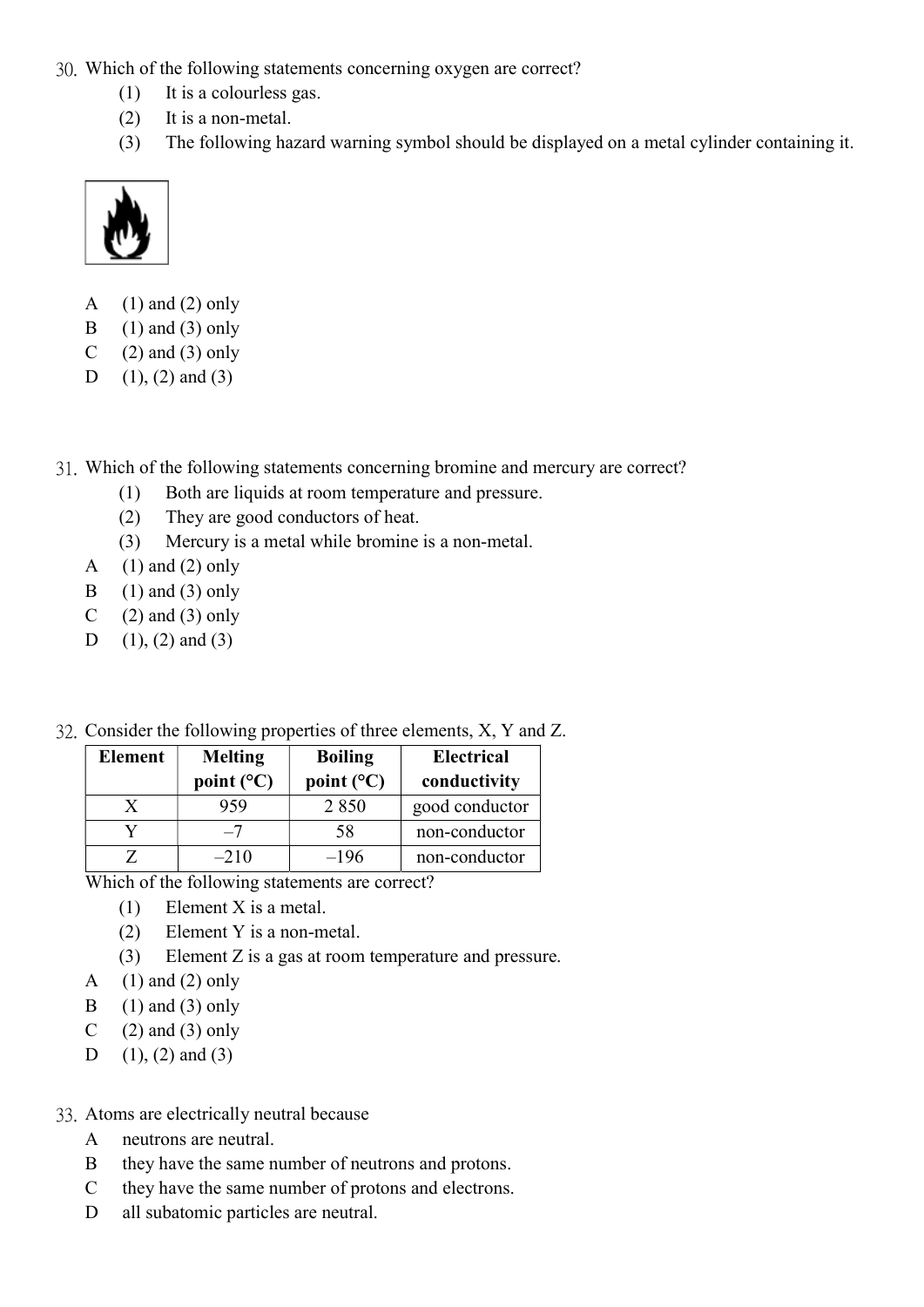- 30. Which of the following statements concerning oxygen are correct?
	- (1) It is a colourless gas.
	- (2) It is a non-metal.
	- (3) The following hazard warning symbol should be displayed on a metal cylinder containing it.



- A  $(1)$  and  $(2)$  only
- B  $(1)$  and  $(3)$  only
- C  $(2)$  and  $(3)$  only
- D  $(1)$ ,  $(2)$  and  $(3)$
- 31. Which of the following statements concerning bromine and mercury are correct?
	- (1) Both are liquids at room temperature and pressure.
	- (2) They are good conductors of heat.
	- (3) Mercury is a metal while bromine is a non-metal.
	- A  $(1)$  and  $(2)$  only
	- B  $(1)$  and  $(3)$  only
	- C  $(2)$  and  $(3)$  only
	- D  $(1)$ ,  $(2)$  and  $(3)$
- 32. Consider the following properties of three elements, X, Y and Z.

| <b>Element</b> | <b>Melting</b>      | <b>Boiling</b>      | <b>Electrical</b> |
|----------------|---------------------|---------------------|-------------------|
|                | point $(^{\circ}C)$ | point $(^{\circ}C)$ | conductivity      |
|                | 959                 | 2 8 5 0             | good conductor    |
|                | $-7$                | 58                  | non-conductor     |
|                | $-210$              | $-196$              | non-conductor     |

Which of the following statements are correct?

- (1) Element X is a metal.
- (2) Element Y is a non-metal.
- (3) Element Z is a gas at room temperature and pressure.
- A  $(1)$  and  $(2)$  only
- B  $(1)$  and  $(3)$  only
- C  $(2)$  and  $(3)$  only
- D  $(1)$ ,  $(2)$  and  $(3)$

## 33. Atoms are electrically neutral because

- A neutrons are neutral.
- B they have the same number of neutrons and protons.
- C they have the same number of protons and electrons.
- D all subatomic particles are neutral.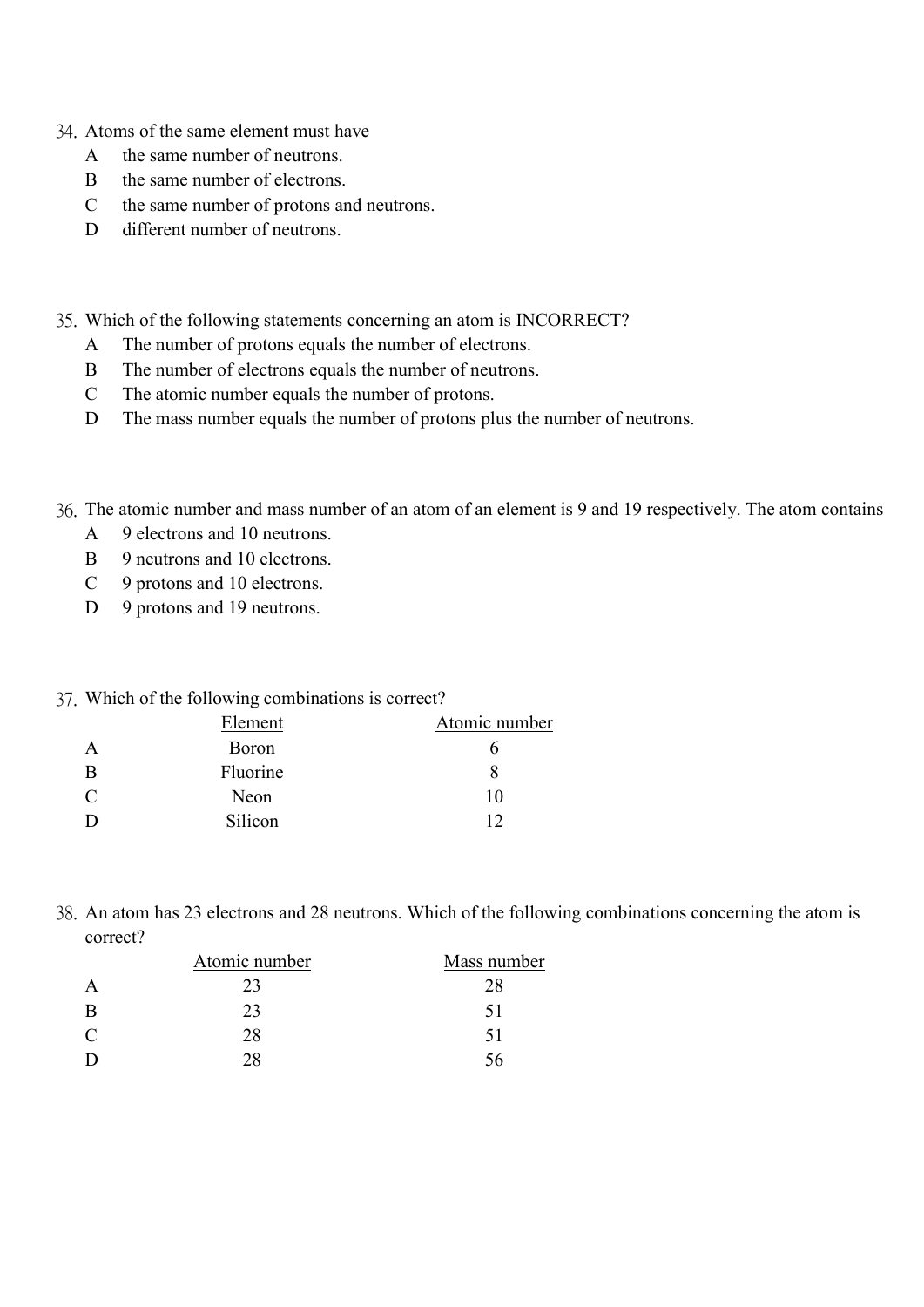- 34. Atoms of the same element must have
	- A the same number of neutrons.
	- B the same number of electrons.
	- C the same number of protons and neutrons.
	- D different number of neutrons.
- 35. Which of the following statements concerning an atom is INCORRECT?
	- A The number of protons equals the number of electrons.
	- B The number of electrons equals the number of neutrons.
	- C The atomic number equals the number of protons.
	- D The mass number equals the number of protons plus the number of neutrons.
- 36. The atomic number and mass number of an atom of an element is 9 and 19 respectively. The atom contains
	- A 9 electrons and 10 neutrons.
	- B 9 neutrons and 10 electrons.
	- C 9 protons and 10 electrons.
	- D 9 protons and 19 neutrons.

#### 37. Which of the following combinations is correct?

|   | Element  | Atomic number |
|---|----------|---------------|
|   | Boron    |               |
| B | Fluorine |               |
| C | Neon     | 10            |
|   | Silicon  |               |

38. An atom has 23 electrons and 28 neutrons. Which of the following combinations concerning the atom is correct?

|              | Atomic number | Mass number |
|--------------|---------------|-------------|
| A            | 23            | 28          |
| B            | 23            | $\Delta$    |
| $\mathsf{C}$ | 28            | 51          |
| D            |               | ٦h.         |
|              |               |             |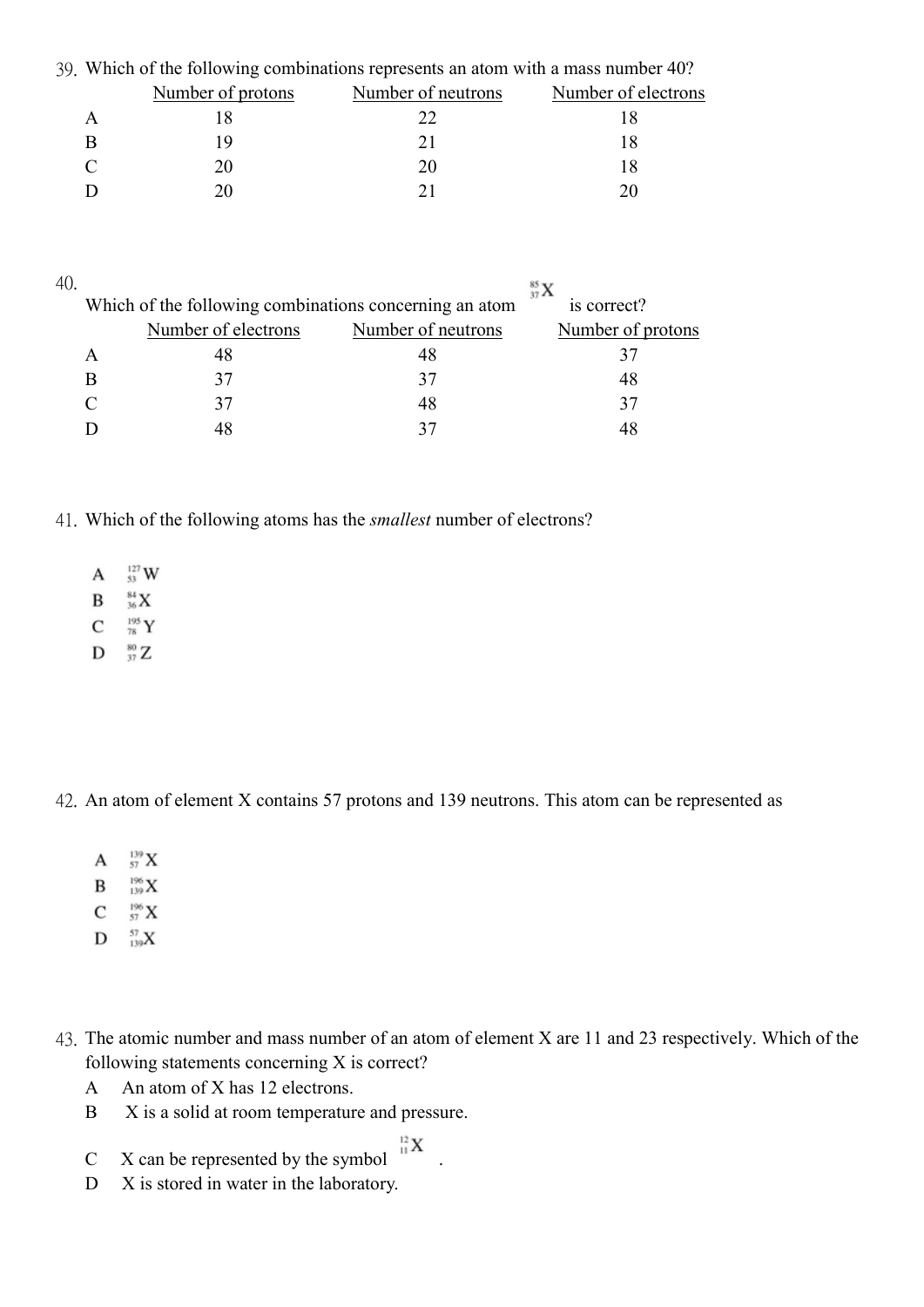| 39. Which of the following combinations represents an atom with a mass number 40? |                    |                     |  |  |
|-----------------------------------------------------------------------------------|--------------------|---------------------|--|--|
| Number of protons                                                                 | Number of neutrons | Number of electrons |  |  |
|                                                                                   | 22                 |                     |  |  |
|                                                                                   | 21                 |                     |  |  |
| 20                                                                                | 20                 |                     |  |  |
|                                                                                   |                    |                     |  |  |
|                                                                                   |                    |                     |  |  |

| 40 |                                                        |                    | $^{85}_{37}\text{X}$ |
|----|--------------------------------------------------------|--------------------|----------------------|
|    | Which of the following combinations concerning an atom |                    | is correct?          |
|    | Number of electrons                                    | Number of neutrons | Number of protons    |
|    |                                                        | 48                 |                      |
|    |                                                        | 37                 | 48                   |
|    |                                                        | 48                 | 37                   |
|    |                                                        |                    |                      |

41. Which of the following atoms has the smallest number of electrons?

- $^{127}_{53}$  W A
- $^{84}_{36}\rm X$ B
- $\mathsf{C}$  $^{195}_{\phantom{1}78}\,$  Y
- $D \frac{80}{37}Z$

42. An atom of element X contains 57 protons and 139 neutrons. This atom can be represented as

- $^{139}_{57}$  X A
- $^{196}_{139}X$ B
- $_{57}^{196}$  X C
- $D = \frac{57}{139}X$
- 43. The atomic number and mass number of an atom of element X are 11 and 23 respectively. Which of the following statements concerning X is correct?
	- A An atom of X has 12 electrons.
	- B X is a solid at room temperature and pressure.
	- C X can be represented by the symbol  $X^{\frac{12}{11}}X$
	- D X is stored in water in the laboratory.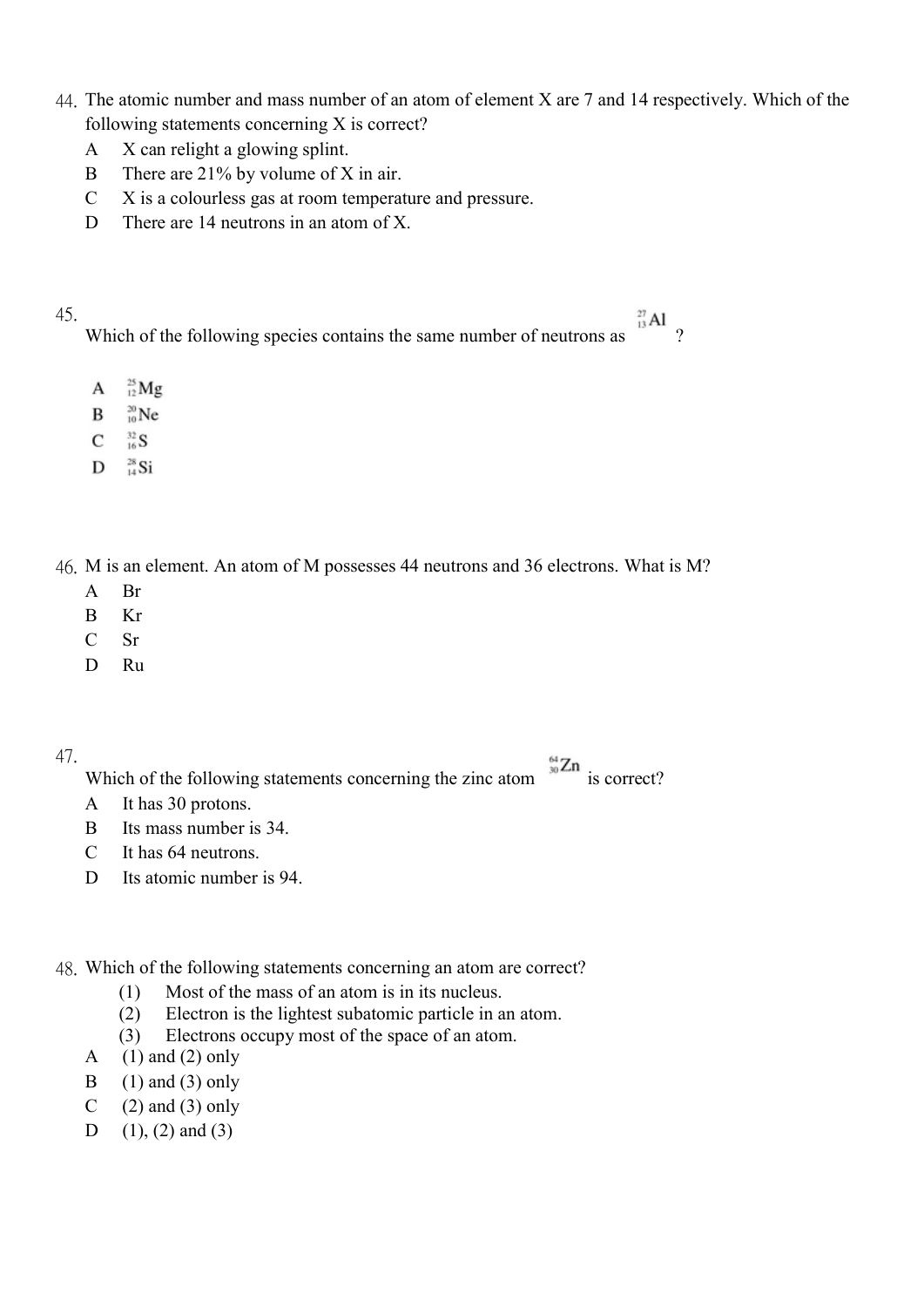- 44. The atomic number and mass number of an atom of element X are 7 and 14 respectively. Which of the following statements concerning X is correct?
	- A X can relight a glowing splint.
	- B There are 21% by volume of X in air.
	- C X is a colourless gas at room temperature and pressure.
	- D There are 14 neutrons in an atom of X.
- 45.

Which of the following species contains the same number of neutrons as  $\frac{d}{d}$  ?

- $^{25}_{12}$  Mg  $\mathbf{A}$
- B  $^{20}_{10}$ Ne
- $^{32}_{16}S$  $\mathbf{C}$
- $D = \frac{28}{14}Si$

46. M is an element. An atom of M possesses 44 neutrons and 36 electrons. What is M?

- A Br
- B Kr
- C Sr
- D Ru

47.

Which of the following statements concerning the zinc atom  $\frac{30 \text{ Zn}}{30 \text{ Zn}}$  is correct?

- A It has 30 protons.
- B Its mass number is 34.
- C It has 64 neutrons.
- D Its atomic number is 94.

48. Which of the following statements concerning an atom are correct?

- (1) Most of the mass of an atom is in its nucleus.
- (2) Electron is the lightest subatomic particle in an atom.
- (3) Electrons occupy most of the space of an atom.
- A  $(1)$  and  $(2)$  only
- B  $(1)$  and  $(3)$  only
- C  $(2)$  and  $(3)$  only
- D  $(1)$ ,  $(2)$  and  $(3)$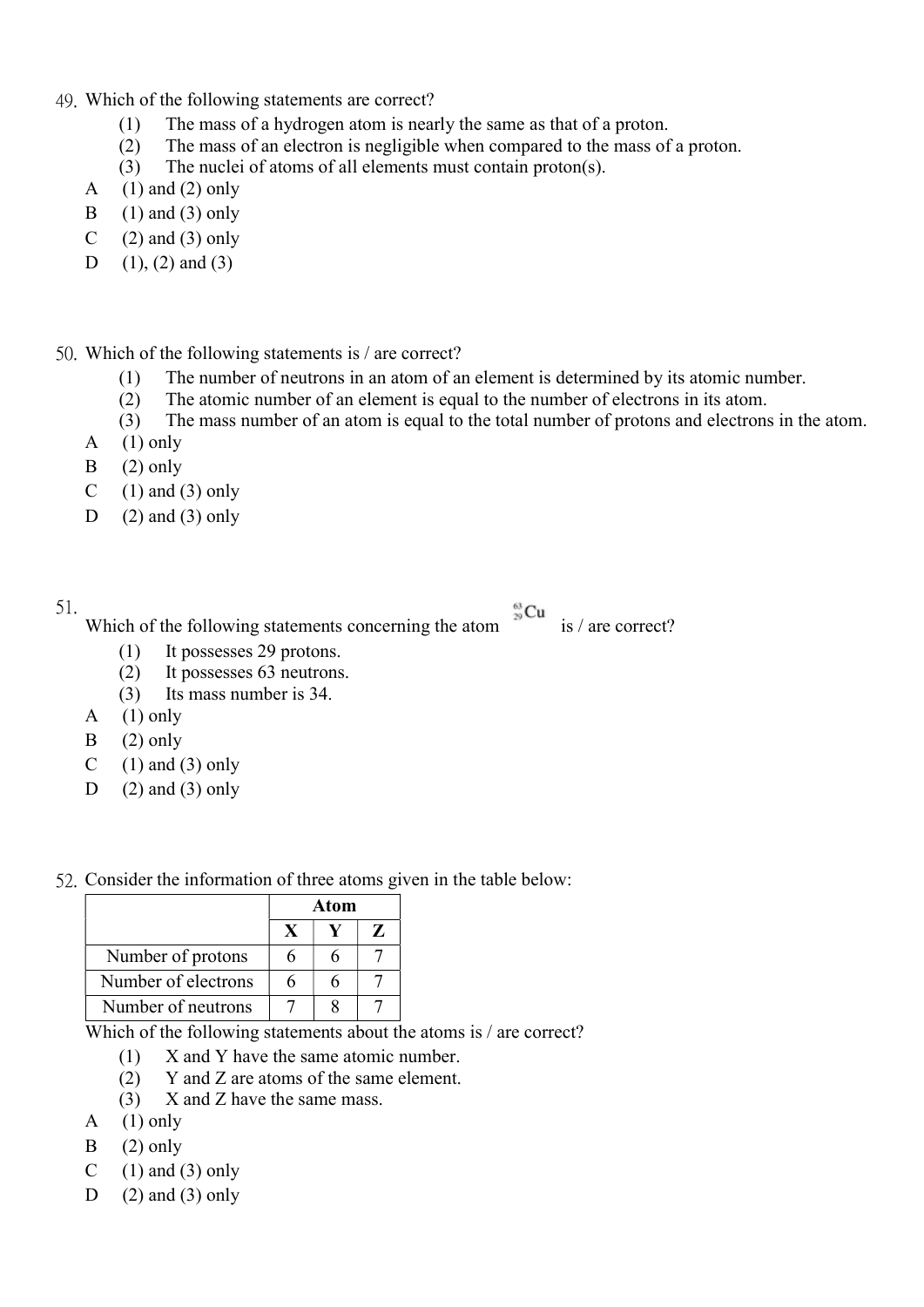- 49. Which of the following statements are correct?
	- (1) The mass of a hydrogen atom is nearly the same as that of a proton.
	- (2) The mass of an electron is negligible when compared to the mass of a proton.
	- (3) The nuclei of atoms of all elements must contain proton(s).
	- A  $(1)$  and  $(2)$  only
	- B  $(1)$  and  $(3)$  only
	- C  $(2)$  and  $(3)$  only
	- D  $(1)$ ,  $(2)$  and  $(3)$

50. Which of the following statements is / are correct?

- (1) The number of neutrons in an atom of an element is determined by its atomic number.
- (2) The atomic number of an element is equal to the number of electrons in its atom.
- (3) The mass number of an atom is equal to the total number of protons and electrons in the atom.
- A  $(1)$  only
- $B$  (2) only
- C  $(1)$  and  $(3)$  only
- D  $(2)$  and  $(3)$  only
- 51.

Which of the following statements concerning the atom is / are correct?

- (1) It possesses 29 protons.
- (2) It possesses 63 neutrons.
- (3) Its mass number is 34.
- A  $(1)$  only
- $B$  (2) only
- C  $(1)$  and  $(3)$  only
- D  $(2)$  and  $(3)$  only
- 52. Consider the information of three atoms given in the table below:

|                     | Atom |  |   |
|---------------------|------|--|---|
|                     |      |  | Z |
| Number of protons   |      |  |   |
| Number of electrons |      |  |   |
| Number of neutrons  |      |  |   |

Which of the following statements about the atoms is / are correct?

- (1) X and Y have the same atomic number.
- (2) Y and Z are atoms of the same element.
- (3) X and Z have the same mass.
- A  $(1)$  only
- $B$  (2) only
- C  $(1)$  and  $(3)$  only
- D  $(2)$  and  $(3)$  only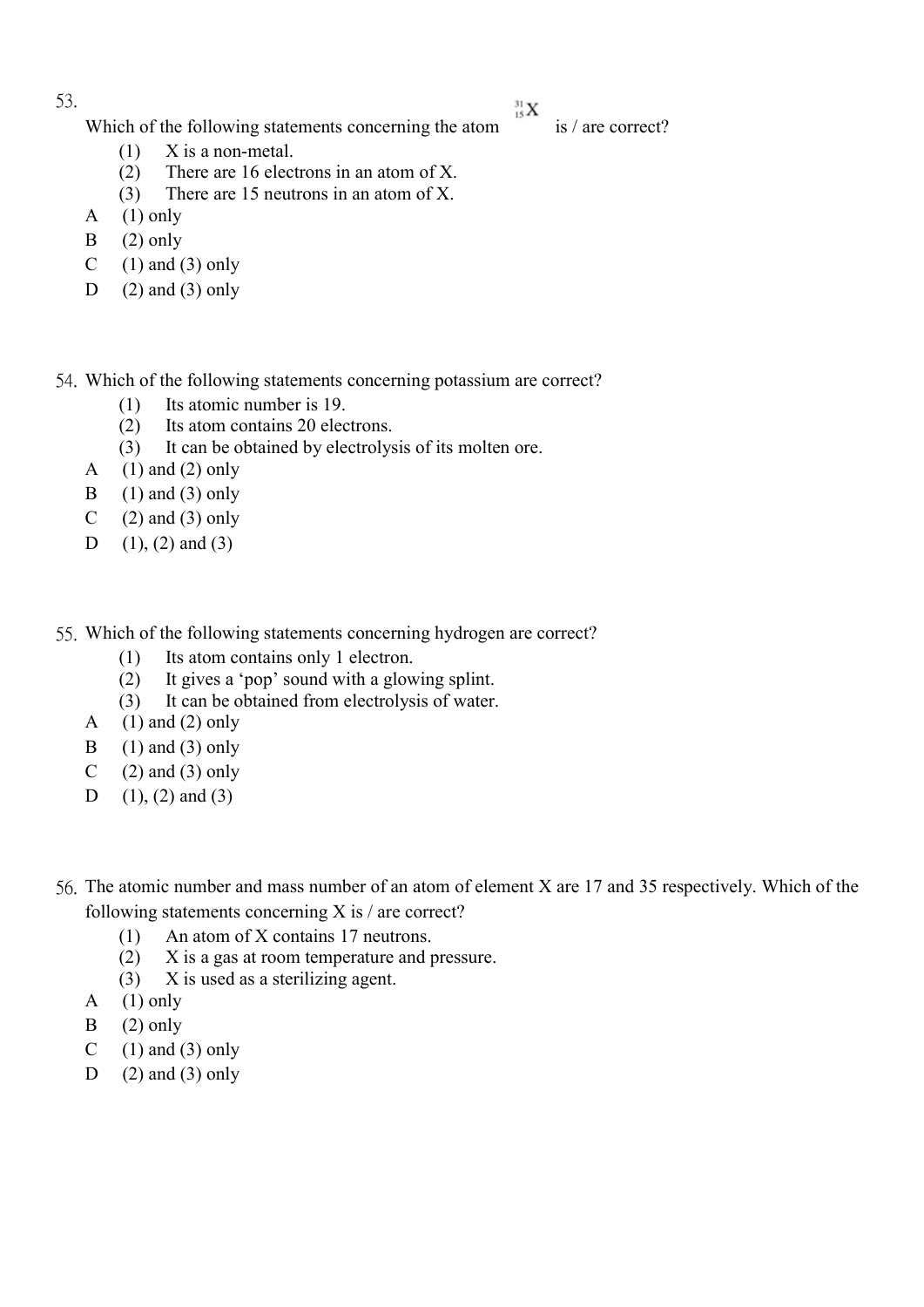${}^{31}_{15}X$ 

Which of the following statements concerning the atom is / are correct?

- (1) X is a non-metal.
- (2) There are 16 electrons in an atom of X.
- (3) There are 15 neutrons in an atom of X.
- A  $(1)$  only
- $B$  (2) only
- C  $(1)$  and  $(3)$  only
- D  $(2)$  and  $(3)$  only
- 54. Which of the following statements concerning potassium are correct?
	- (1) Its atomic number is 19.
	- (2) Its atom contains 20 electrons.
	- (3) It can be obtained by electrolysis of its molten ore.
	- A  $(1)$  and  $(2)$  only
	- B  $(1)$  and  $(3)$  only
	- C  $(2)$  and  $(3)$  only
	- D  $(1)$ ,  $(2)$  and  $(3)$
- 55. Which of the following statements concerning hydrogen are correct?
	- (1) Its atom contains only 1 electron.
	- (2) It gives a 'pop' sound with a glowing splint.
	- (3) It can be obtained from electrolysis of water.
	- A  $(1)$  and  $(2)$  only
	- B  $(1)$  and  $(3)$  only
	- C  $(2)$  and  $(3)$  only
	- D  $(1)$ ,  $(2)$  and  $(3)$
- 56. The atomic number and mass number of an atom of element X are 17 and 35 respectively. Which of the following statements concerning X is / are correct?
	- (1) An atom of X contains 17 neutrons.
	- (2) X is a gas at room temperature and pressure.
	- (3) X is used as a sterilizing agent.
	- A  $(1)$  only
	- $B$  (2) only
	- C  $(1)$  and  $(3)$  only
	- D  $(2)$  and  $(3)$  only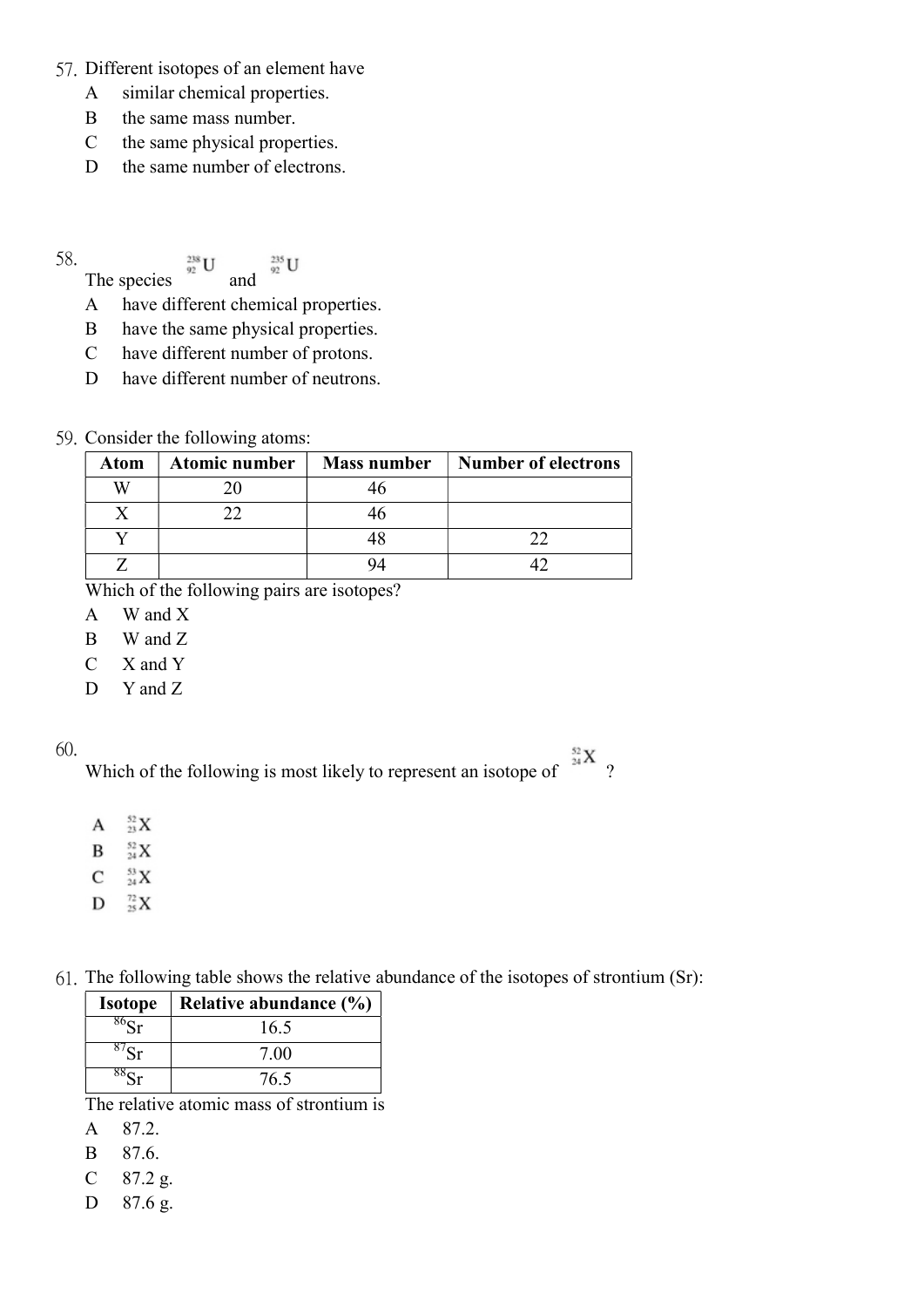- 57. Different isotopes of an element have
	- A similar chemical properties.
	- B the same mass number.
	- C the same physical properties.
	- D the same number of electrons.

The species  $\frac{238}{92}U$  and  $\frac{235}{92}U$ 

- A have different chemical properties.
- B have the same physical properties.
- C have different number of protons.
- D have different number of neutrons.

## 59. Consider the following atoms:

| Atom | <b>Atomic number</b> | <b>Mass number</b> | <b>Number of electrons</b> |
|------|----------------------|--------------------|----------------------------|
|      |                      |                    |                            |
|      |                      |                    |                            |
|      |                      |                    |                            |
|      |                      |                    |                            |

Which of the following pairs are isotopes?

- A W and X
- B W and Z
- C X and Y
- D Y and Z

## 60.

Which of the following is most likely to represent an isotope of  $\frac{32}{24}X$  ?

- $^{52}_{23}X$  $\mathbf{A}$
- $^{52}_{24}$  X B
- $\mathsf{C}$  $^{53}_{24}$  X
- $D_{25}^{72}X$
- 61. The following table shows the relative abundance of the isotopes of strontium (Sr):

| <b>Isotope</b> | Relative abundance (%) |  |  |  |
|----------------|------------------------|--|--|--|
|                | 16.5                   |  |  |  |
|                | 7.00                   |  |  |  |
|                | 76.5                   |  |  |  |

The relative atomic mass of strontium is

- A 87.2.
- B 87.6.
- C 87.2 g.
- D 87.6 g.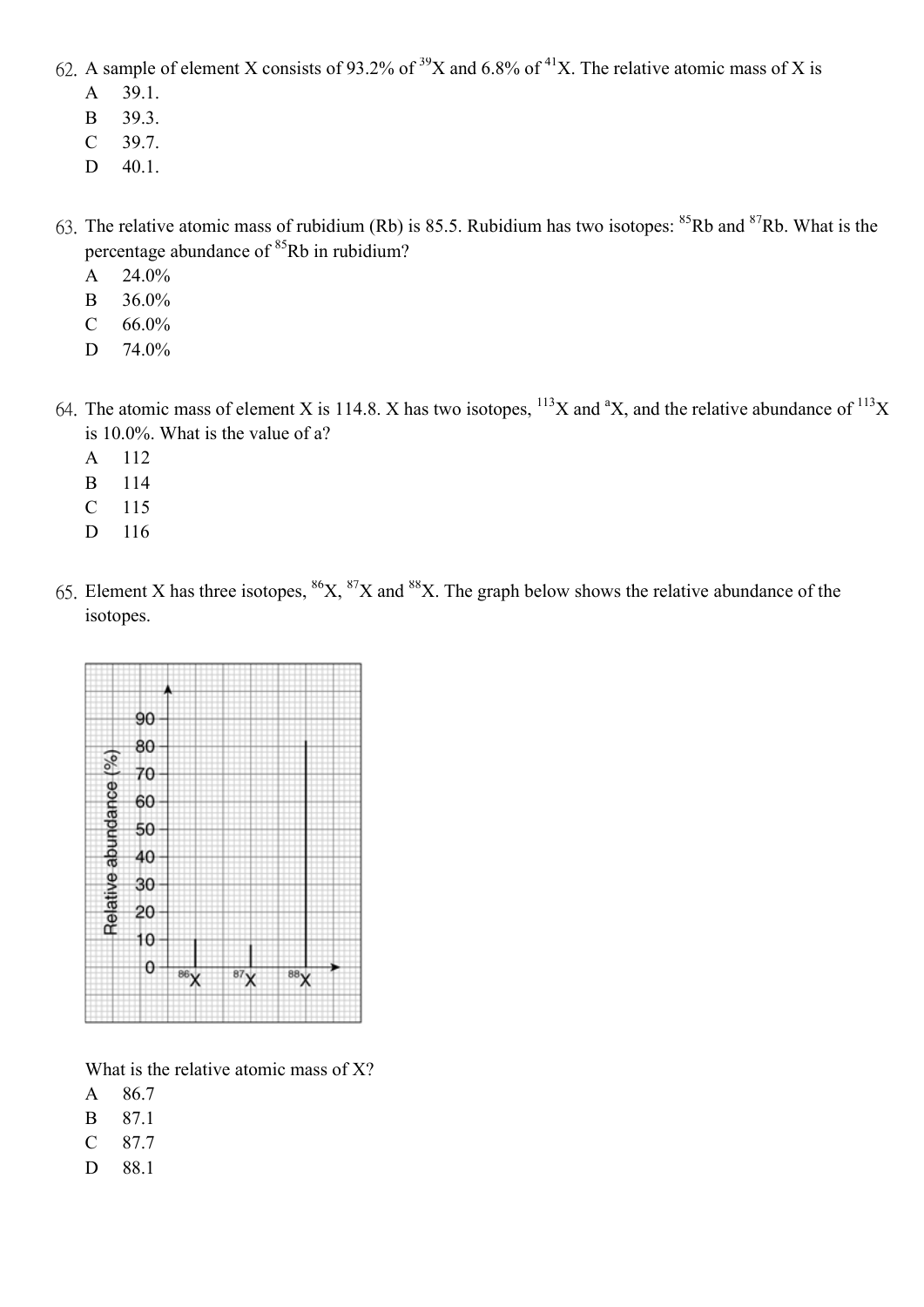- 62. A sample of element X consists of 93.2% of <sup>39</sup>X and 6.8% of <sup>41</sup>X. The relative atomic mass of X is
	- A 39.1.
	- B 39.3.
	- C 39.7.
	- D 40.1.
- 63. The relative atomic mass of rubidium (Rb) is 85.5. Rubidium has two isotopes:  $85Rb$  and  $87Rb$ . What is the percentage abundance of <sup>85</sup>Rb in rubidium?
	- A 24.0%
	- B 36.0%
	- C  $66.0\%$
	- D 74.0%
- 64. The atomic mass of element X is 114.8. X has two isotopes,  $^{113}X$  and  $^aX$ , and the relative abundance of  $^{113}X$ is 10.0%. What is the value of a?
	- A 112
	- B 114
	- C 115
	- D 116
- 65. Element X has three isotopes,  ${}^{86}X$ ,  ${}^{87}X$  and  ${}^{88}X$ . The graph below shows the relative abundance of the isotopes.



What is the relative atomic mass of X?

- A 86.7
- B 87.1
- C 87.7
- D 88.1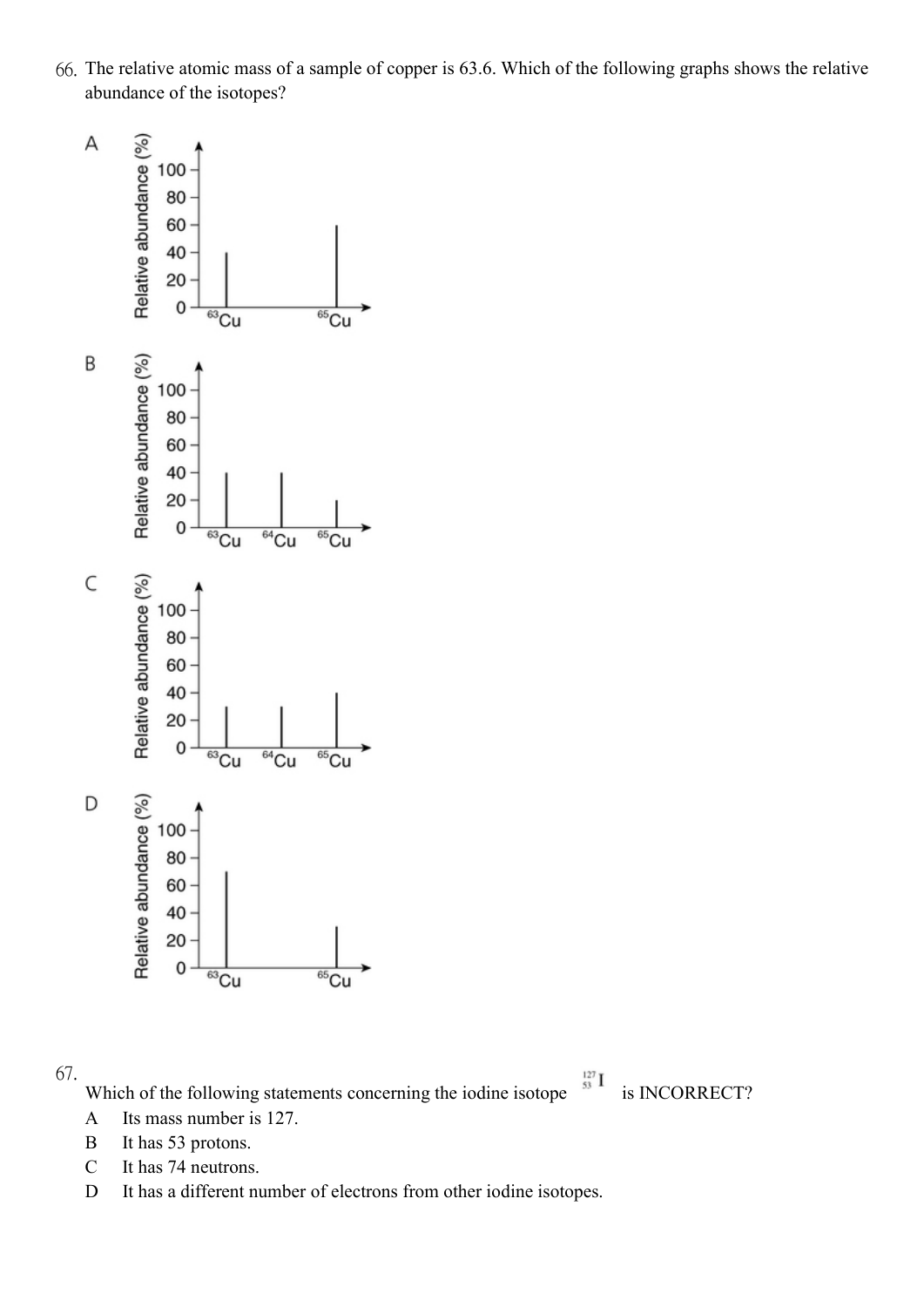

Which of the following statements concerning the iodine isotope  $\frac{127}{53}I$  is INCORRECT?

- A Its mass number is 127.
- B It has 53 protons.
- C It has 74 neutrons.
- D It has a different number of electrons from other iodine isotopes.

66. The relative atomic mass of a sample of copper is 63.6. Which of the following graphs shows the relative abundance of the isotopes?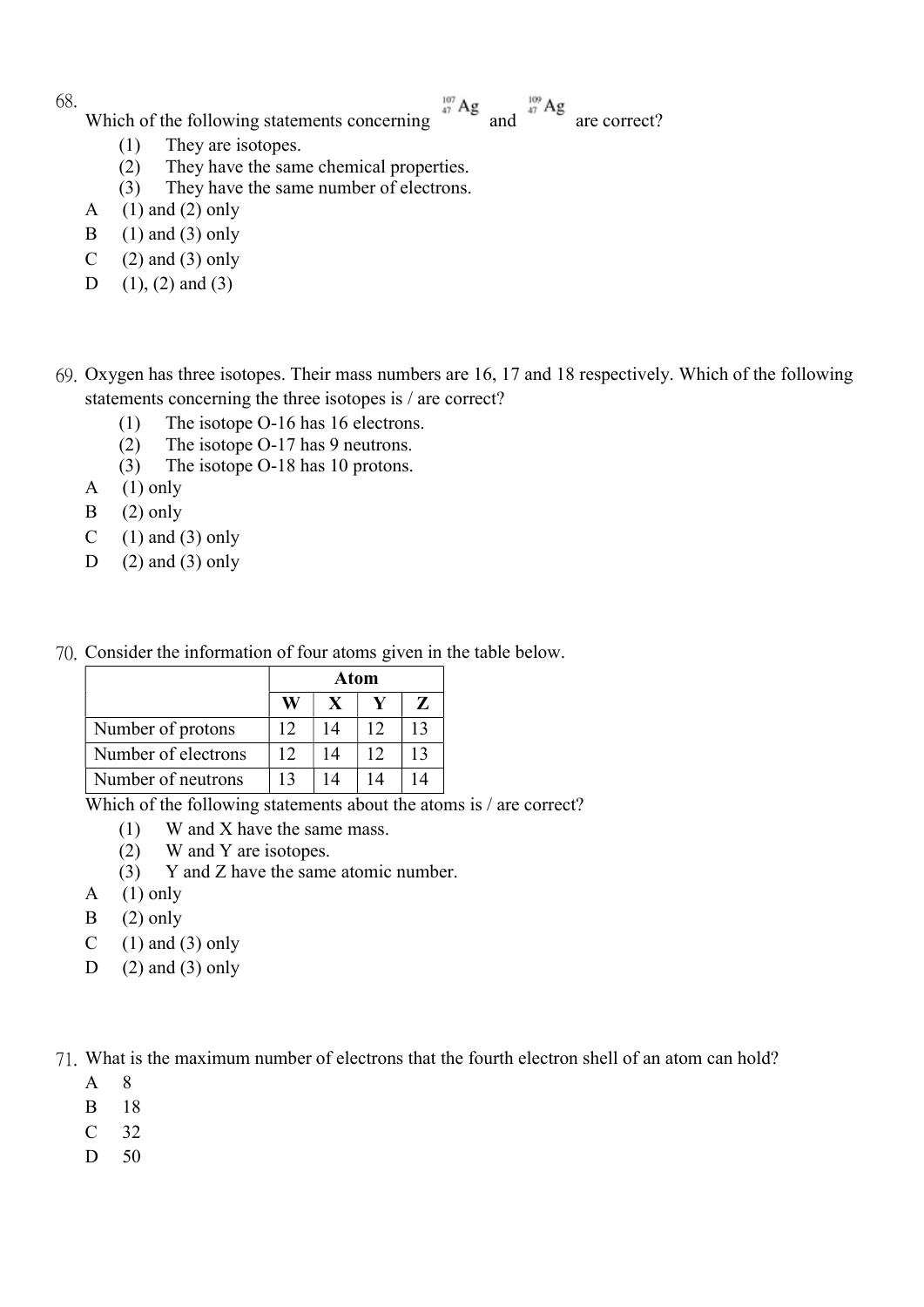- Which of the following statements concerning  $\frac{107}{47}$  Ag and  $\frac{109}{47}$  Ag are correct?
	- (1) They are isotopes.
	- (2) They have the same chemical properties.
	- (3) They have the same number of electrons.
- A  $(1)$  and  $(2)$  only
- B  $(1)$  and  $(3)$  only
- C  $(2)$  and  $(3)$  only
- D  $(1)$ ,  $(2)$  and  $(3)$
- 69. Oxygen has three isotopes. Their mass numbers are 16, 17 and 18 respectively. Which of the following statements concerning the three isotopes is / are correct?
	- (1) The isotope O-16 has 16 electrons.
	- (2) The isotope O-17 has 9 neutrons.
	- (3) The isotope O-18 has 10 protons.
	- A  $(1)$  only
	- $B$  (2) only
	- C  $(1)$  and  $(3)$  only
	- D  $(2)$  and  $(3)$  only
- 70. Consider the information of four atoms given in the table below.

|                     | Atom |    |    |                 |
|---------------------|------|----|----|-----------------|
|                     | Ŵ    |    |    | $\mathbf{Z}$    |
| Number of protons   | 12   | 14 | 12 | $\overline{13}$ |
| Number of electrons | 12   | 14 | 12 | $\overline{13}$ |
| Number of neutrons  | 13   |    |    |                 |

Which of the following statements about the atoms is / are correct?

- (1) W and X have the same mass.
- (2) W and Y are isotopes.
- (3) Y and Z have the same atomic number.
- A  $(1)$  only
- $B$  (2) only
- C  $(1)$  and  $(3)$  only
- D  $(2)$  and  $(3)$  only

71. What is the maximum number of electrons that the fourth electron shell of an atom can hold?

- A 8
- B 18
- $C$  32
- D 50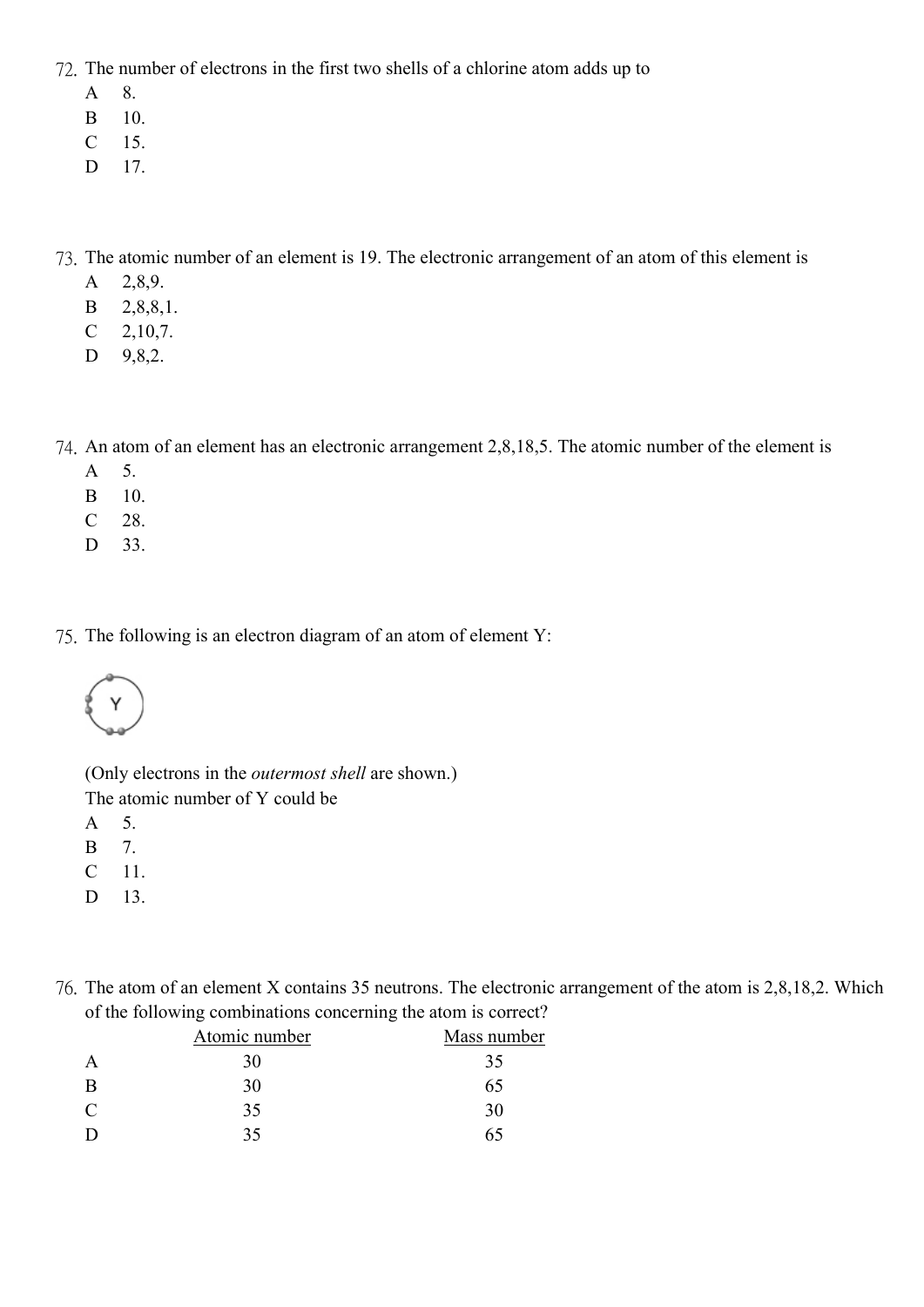72. The number of electrons in the first two shells of a chlorine atom adds up to

- A 8.
- B 10.
- C 15.
- D 17.

73. The atomic number of an element is 19. The electronic arrangement of an atom of this element is

- A 2,8,9.
- B 2,8,8,1.
- C 2,10,7.
- D 9,8,2.

74. An atom of an element has an electronic arrangement 2,8,18,5. The atomic number of the element is

- A 5.
- B 10.
- C 28.
- D 33.

75. The following is an electron diagram of an atom of element Y:



(Only electrons in the outermost shell are shown.)

The atomic number of Y could be

A 5.

- B 7.
- C 11.
- D 13.
- 76. The atom of an element X contains 35 neutrons. The electronic arrangement of the atom is 2,8,18,2. Which of the following combinations concerning the atom is correct?

| Atomic number | Mass number |  |  |
|---------------|-------------|--|--|
| 30            | 35          |  |  |
| 30            | 65          |  |  |
| 35            | 30          |  |  |
| 35            | 65          |  |  |
|               |             |  |  |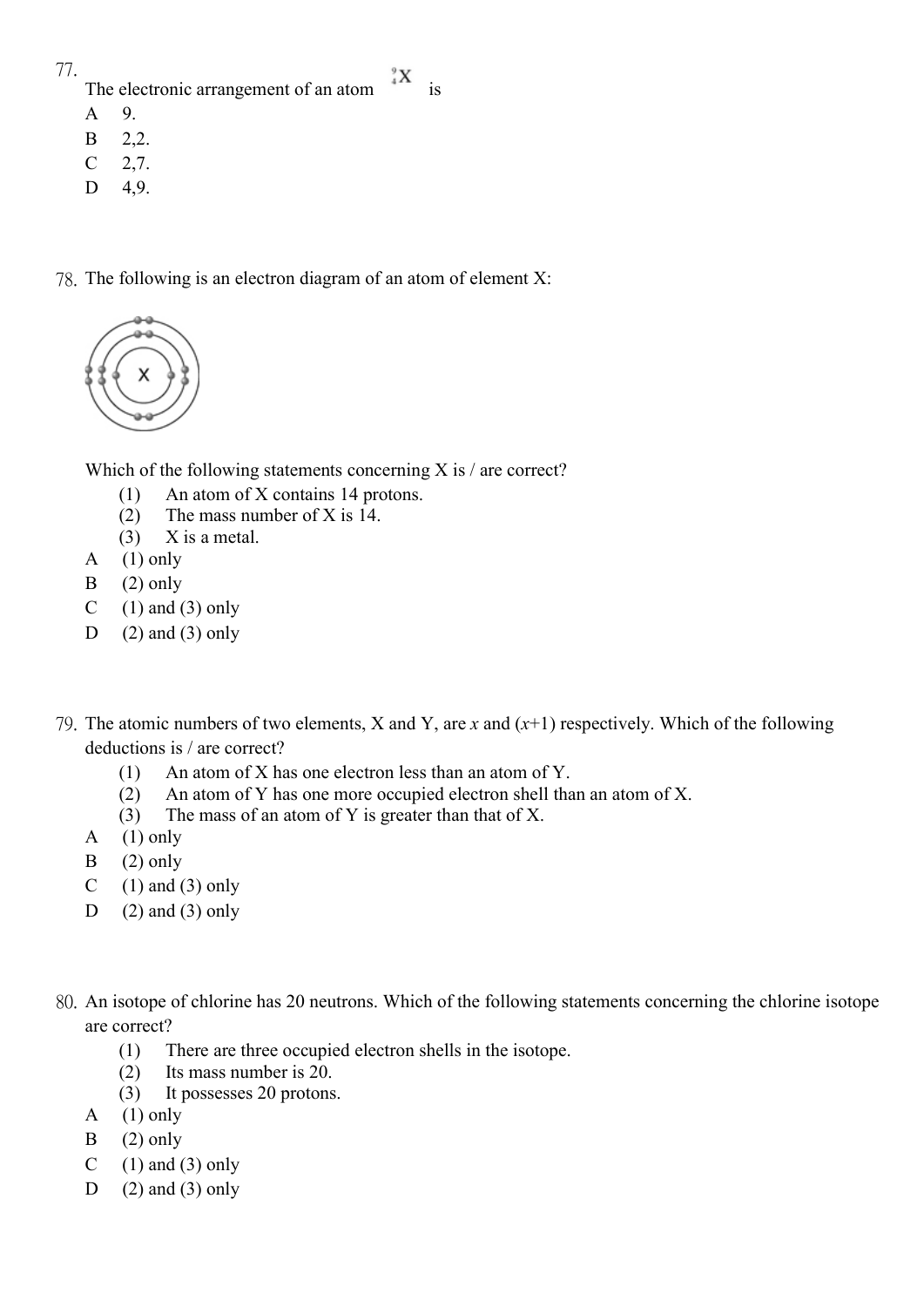## The electronic arrangement of an atom  $X$  is

- A 9.
- B 2,2.
- C 2,7.
- D 4,9.
- 78. The following is an electron diagram of an atom of element X:



Which of the following statements concerning  $X$  is  $/$  are correct?

- (1) An atom of X contains 14 protons.
- (2) The mass number of X is 14.
- $(3)$  X is a metal.
- A  $(1)$  only
- $B$  (2) only
- C  $(1)$  and  $(3)$  only
- D  $(2)$  and  $(3)$  only
- 79. The atomic numbers of two elements, X and Y, are x and  $(x+1)$  respectively. Which of the following deductions is / are correct?
	- (1) An atom of X has one electron less than an atom of Y.
	- (2) An atom of Y has one more occupied electron shell than an atom of X.
	- (3) The mass of an atom of Y is greater than that of X.
	- A  $(1)$  only
	- $B$  (2) only
	- C  $(1)$  and  $(3)$  only
	- D  $(2)$  and  $(3)$  only
- 80. An isotope of chlorine has 20 neutrons. Which of the following statements concerning the chlorine isotope are correct?
	- (1) There are three occupied electron shells in the isotope.
	- (2) Its mass number is 20.
	- (3) It possesses 20 protons.
	- A  $(1)$  only
	- $B$  (2) only
	- C  $(1)$  and  $(3)$  only
	- D  $(2)$  and  $(3)$  only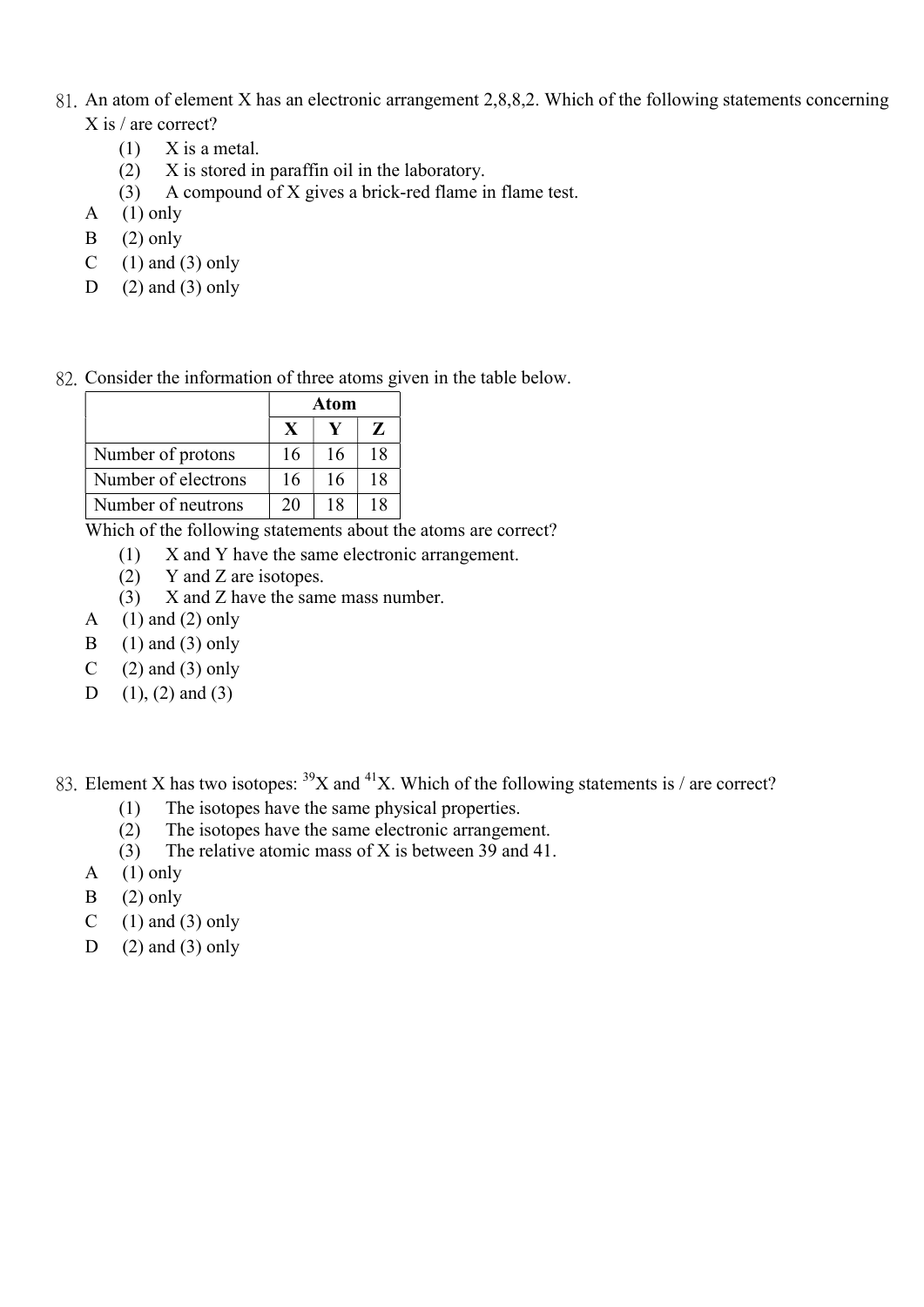- 81. An atom of element X has an electronic arrangement 2,8,8,2. Which of the following statements concerning X is / are correct?
	- $(1)$  X is a metal.
	- (2) X is stored in paraffin oil in the laboratory.
	- (3) A compound of X gives a brick-red flame in flame test.
	- A  $(1)$  only
	- $B$  (2) only
	- C  $(1)$  and  $(3)$  only
	- D  $(2)$  and  $(3)$  only

82. Consider the information of three atoms given in the table below.

|                     | <b>Atom</b> |    |    |  |
|---------------------|-------------|----|----|--|
|                     |             |    | Z  |  |
| Number of protons   | 16          | 16 | 18 |  |
| Number of electrons | 16          | 16 | 18 |  |
| Number of neutrons  | 20          | 18 | 18 |  |

Which of the following statements about the atoms are correct?

- (1) X and Y have the same electronic arrangement.
- (2) Y and Z are isotopes.
- (3) X and Z have the same mass number.
- A  $(1)$  and  $(2)$  only
- B  $(1)$  and  $(3)$  only
- C  $(2)$  and  $(3)$  only
- D  $(1)$ ,  $(2)$  and  $(3)$

83. Element X has two isotopes:  $39X$  and  $41X$ . Which of the following statements is / are correct?

- (1) The isotopes have the same physical properties.
- (2) The isotopes have the same electronic arrangement.
- (3) The relative atomic mass of X is between 39 and 41.
- A  $(1)$  only
- $B$  (2) only
- C  $(1)$  and  $(3)$  only
- D  $(2)$  and  $(3)$  only